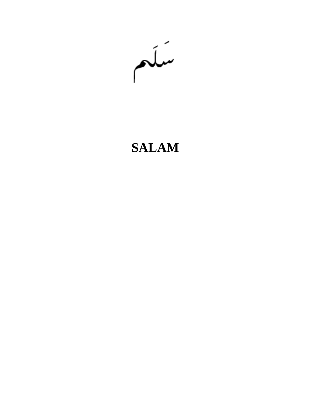سكع

# **SALAM**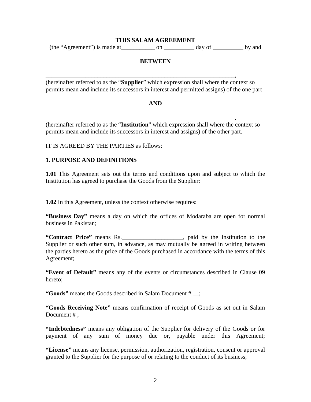#### **THIS SALAM AGREEMENT**

 $(the "Agreement")$  is made at \_\_\_\_\_\_\_\_\_\_\_\_\_\_ on \_\_\_\_\_\_\_\_\_\_\_\_\_ day of \_\_\_\_\_\_\_\_\_\_\_ by and

## **BETWEEN**

\_\_\_\_\_\_\_\_\_\_\_\_\_\_\_\_\_\_\_\_\_\_\_\_\_\_\_\_\_\_\_\_\_\_\_\_\_\_\_\_\_\_\_\_\_\_\_\_\_\_\_\_\_\_\_\_\_\_\_\_\_\_, (hereinafter referred to as the "**Supplier**" which expression shall where the context so permits mean and include its successors in interest and permitted assigns) of the one part

#### **AND**

\_\_\_\_\_\_\_\_\_\_\_\_\_\_\_\_\_\_\_\_\_\_\_\_\_\_\_\_\_\_\_\_\_\_\_\_\_\_\_\_\_\_\_\_\_\_\_\_\_\_\_\_\_\_\_\_\_\_\_\_\_\_, (hereinafter referred to as the "**Institution**" which expression shall where the context so permits mean and include its successors in interest and assigns) of the other part.

IT IS AGREED BY THE PARTIES as follows:

#### **1. PURPOSE AND DEFINITIONS**

**1.01** This Agreement sets out the terms and conditions upon and subject to which the Institution has agreed to purchase the Goods from the Supplier:

**1.02** In this Agreement, unless the context otherwise requires:

**"Business Day"** means a day on which the offices of Modaraba are open for normal business in Pakistan;

**"Contract Price"** means Rs.\_\_\_\_\_\_\_\_\_\_\_\_\_\_\_\_\_\_\_\_, paid by the Institution to the Supplier or such other sum, in advance, as may mutually be agreed in writing between the parties hereto as the price of the Goods purchased in accordance with the terms of this Agreement;

**"Event of Default"** means any of the events or circumstances described in Clause 09 hereto;

**"Goods"** means the Goods described in Salam Document # \_\_;

**"Goods Receiving Note"** means confirmation of receipt of Goods as set out in Salam Document #:

**"Indebtedness"** means any obligation of the Supplier for delivery of the Goods or for payment of any sum of money due or, payable under this Agreement;

**"License"** means any license, permission, authorization, registration, consent or approval granted to the Supplier for the purpose of or relating to the conduct of its business;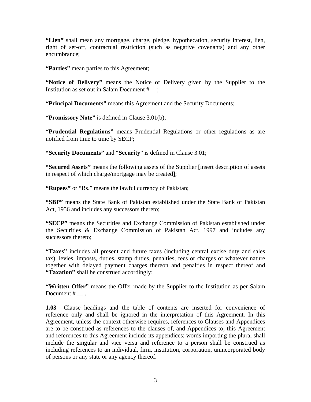**"Lien"** shall mean any mortgage, charge, pledge, hypothecation, security interest, lien, right of set-off, contractual restriction (such as negative covenants) and any other encumbrance;

**"Parties"** mean parties to this Agreement;

**"Notice of Delivery"** means the Notice of Delivery given by the Supplier to the Institution as set out in Salam Document # \_\_;

**"Principal Documents"** means this Agreement and the Security Documents;

**"Promissory Note"** is defined in Clause 3.01(b);

**"Prudential Regulations"** means Prudential Regulations or other regulations as are notified from time to time by SECP;

**"Security Documents"** and "**Security**" is defined in Clause 3.01;

**"Secured Assets"** means the following assets of the Supplier [insert description of assets in respect of which charge/mortgage may be created];

**"Rupees"** or "Rs." means the lawful currency of Pakistan;

**"SBP"** means the State Bank of Pakistan established under the State Bank of Pakistan Act, 1956 and includes any successors thereto;

**"SECP"** means the Securities and Exchange Commission of Pakistan established under the Securities & Exchange Commission of Pakistan Act, 1997 and includes any successors thereto;

**"Taxes"** includes all present and future taxes (including central excise duty and sales tax), levies, imposts, duties, stamp duties, penalties, fees or charges of whatever nature together with delayed payment charges thereon and penalties in respect thereof and **"Taxation"** shall be construed accordingly;

**"Written Offer"** means the Offer made by the Supplier to the Institution as per Salam Document # \_\_ .

**1.03** Clause headings and the table of contents are inserted for convenience of reference only and shall be ignored in the interpretation of this Agreement. In this Agreement, unless the context otherwise requires, references to Clauses and Appendices are to be construed as references to the clauses of, and Appendices to, this Agreement and references to this Agreement include its appendices; words importing the plural shall include the singular and vice versa and reference to a person shall be construed as including references to an individual, firm, institution, corporation, unincorporated body of persons or any state or any agency thereof.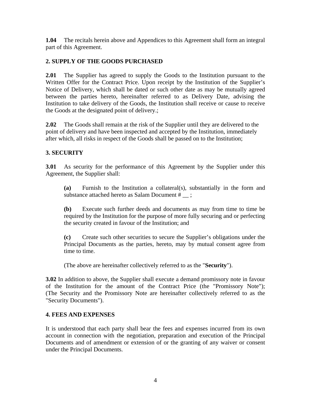**1.04** The recitals herein above and Appendices to this Agreement shall form an integral part of this Agreement.

# **2. SUPPLY OF THE GOODS PURCHASED**

**2.01** The Supplier has agreed to supply the Goods to the Institution pursuant to the Written Offer for the Contract Price. Upon receipt by the Institution of the Supplier's Notice of Delivery, which shall be dated or such other date as may be mutually agreed between the parties hereto, hereinafter referred to as Delivery Date, advising the Institution to take delivery of the Goods, the Institution shall receive or cause to receive the Goods at the designated point of delivery.;

**2.02** The Goods shall remain at the risk of the Supplier until they are delivered to the point of delivery and have been inspected and accepted by the Institution, immediately after which, all risks in respect of the Goods shall be passed on to the Institution;

# **3. SECURITY**

**3.01** As security for the performance of this Agreement by the Supplier under this Agreement, the Supplier shall:

**(a)** Furnish to the Institution a collateral(s), substantially in the form and substance attached hereto as Salam Document # \_\_ ;

**(b)** Execute such further deeds and documents as may from time to time be required by the Institution for the purpose of more fully securing and or perfecting the security created in favour of the Institution; and

**(c)** Create such other securities to secure the Supplier's obligations under the Principal Documents as the parties, hereto, may by mutual consent agree from time to time.

(The above are hereinafter collectively referred to as the "**Security**").

**3.02** In addition to above, the Supplier shall execute a demand promissory note in favour of the Institution for the amount of the Contract Price (the "Promissory Note"); (The Security and the Promissory Note are hereinafter collectively referred to as the "Security Documents").

# **4. FEES AND EXPENSES**

It is understood that each party shall bear the fees and expenses incurred from its own account in connection with the negotiation, preparation and execution of the Principal Documents and of amendment or extension of or the granting of any waiver or consent under the Principal Documents.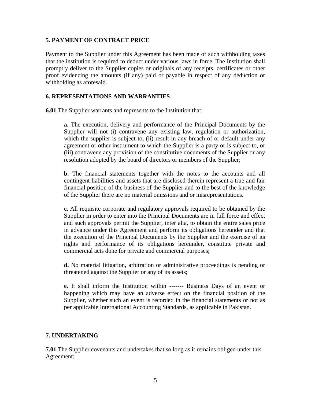### **5. PAYMENT OF CONTRACT PRICE**

Payment to the Supplier under this Agreement has been made of such withholding taxes that the institution is required to deduct under various laws in force. The Institution shall promptly deliver to the Supplier copies or originals of any receipts, certificates or other proof evidencing the amounts (if any) paid or payable in respect of any deduction or withholding as aforesaid.

## **6. REPRESENTATIONS AND WARRANTIES**

**6.01** The Supplier warrants and represents to the Institution that:

**a.** The execution, delivery and performance of the Principal Documents by the Supplier will not (i) contravene any existing law, regulation or authorization, which the supplier is subject to, (ii) result in any breach of or default under any agreement or other instrument to which the Supplier is a party or is subject to, or (iii) contravene any provision of the constitutive documents of the Supplier or any resolution adopted by the board of directors or members of the Supplier;

**b.** The financial statements together with the notes to the accounts and all contingent liabilities and assets that are disclosed therein represent a true and fair financial position of the business of the Supplier and to the best of the knowledge of the Supplier there are no material omissions and or misrepresentations.

**c.** All requisite corporate and regulatory approvals required to be obtained by the Supplier in order to enter into the Principal Documents are in full force and effect and such approvals permit the Supplier, inter alia, to obtain the entire sales price in advance under this Agreement and perform its obligations hereunder and that the execution of the Principal Documents by the Supplier and the exercise of its rights and performance of its obligations hereunder, constitute private and commercial acts done for private and commercial purposes;

**d.** No material litigation, arbitration or administrative proceedings is pending or threatened against the Supplier or any of its assets;

**e.** It shall inform the Institution within ------- Business Days of an event or happening which may have an adverse effect on the financial position of the Supplier, whether such an event is recorded in the financial statements or not as per applicable International Accounting Standards, as applicable in Pakistan.

#### **7. UNDERTAKING**

**7.01** The Supplier covenants and undertakes that so long as it remains obliged under this Agreement: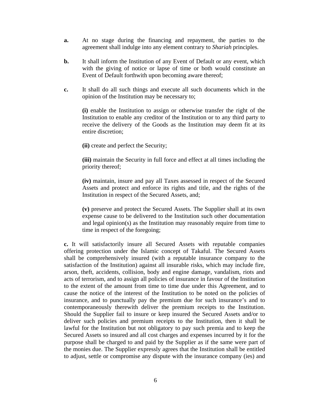- **a.** At no stage during the financing and repayment, the parties to the agreement shall indulge into any element contrary to *Shariah* principles.
- **b.** It shall inform the Institution of any Event of Default or any event, which with the giving of notice or lapse of time or both would constitute an Event of Default forthwith upon becoming aware thereof;
- **c.** It shall do all such things and execute all such documents which in the opinion of the Institution may be necessary to;

**(i)** enable the Institution to assign or otherwise transfer the right of the Institution to enable any creditor of the Institution or to any third party to receive the delivery of the Goods as the Institution may deem fit at its entire discretion;

**(ii)** create and perfect the Security;

**(iii)** maintain the Security in full force and effect at all times including the priority thereof;

**(iv)** maintain, insure and pay all Taxes assessed in respect of the Secured Assets and protect and enforce its rights and title, and the rights of the Institution in respect of the Secured Assets, and;

**(v)** preserve and protect the Secured Assets. The Supplier shall at its own expense cause to be delivered to the Institution such other documentation and legal opinion(s) as the Institution may reasonably require from time to time in respect of the foregoing;

**c.** It will satisfactorily insure all Secured Assets with reputable companies offering protection under the Islamic concept of Takaful. The Secured Assets shall be comprehensively insured (with a reputable insurance company to the satisfaction of the Institution) against all insurable risks, which may include fire, arson, theft, accidents, collision, body and engine damage, vandalism, riots and acts of terrorism, and to assign all policies of insurance in favour of the Institution to the extent of the amount from time to time due under this Agreement, and to cause the notice of the interest of the Institution to be noted on the policies of insurance, and to punctually pay the premium due for such insurance's and to contemporaneously therewith deliver the premium receipts to the Institution. Should the Supplier fail to insure or keep insured the Secured Assets and/or to deliver such policies and premium receipts to the Institution, then it shall be lawful for the Institution but not obligatory to pay such premia and to keep the Secured Assets so insured and all cost charges and expenses incurred by it for the purpose shall be charged to and paid by the Supplier as if the same were part of the monies due. The Supplier expressly agrees that the Institution shall be entitled to adjust, settle or compromise any dispute with the insurance company (ies) and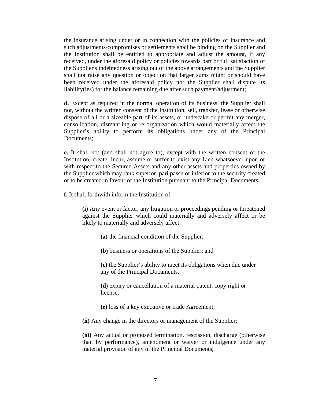the insurance arising under or in connection with the policies of insurance and such adjustments/compromises or settlements shall be binding on the Supplier and the Institution shall be entitled to appropriate and adjust the amount, if any received, under the aforesaid policy or policies towards part or full satisfaction of the Supplier's indebtedness arising out of the above arrangements and the Supplier shall not raise any question or objection that larger sums might or should have been received under the aforesaid policy nor the Supplier shall dispute its liability(ies) for the balance remaining due after such payment/adjustment;

**d.** Except as required in the normal operation of its business, the Supplier shall not, without the written consent of the Institution, sell, transfer, lease or otherwise dispose of all or a sizeable part of its assets, or undertake or permit any merger, consolidation, dismantling or re organization which would materially affect the Supplier's ability to perform its obligations under any of the Principal Documents;

**e.** It shall not (and shall not agree to), except with the written consent of the Institution, create, incur, assume or suffer to exist any Lien whatsoever upon or with respect to the Secured Assets and any other assets and properties owned by the Supplier which may rank superior, pari passu or inferior to the security created or to be created in favour of the Institution pursuant to the Principal Documents;

**f.** It shall forthwith inform the Institution of:

**(i)** Any event or factor, any litigation or proceedings pending or threatened against the Supplier which could materially and adversely affect or be likely to materially and adversely affect:

**(a)** the financial condition of the Supplier;

**(b)** business or operations of the Supplier; and

**(c)** the Supplier's ability to meet its obligations when due under any of the Principal Documents,

**(d)** expiry or cancellation of a material patent, copy right or license,

**(e)** loss of a key executive or trade Agreement;

**(ii)** Any change in the directors or management of the Supplier;

**(iii)** Any actual or proposed termination, rescission, discharge (otherwise than by performance), amendment or waiver or indulgence under any material provision of any of the Principal Documents;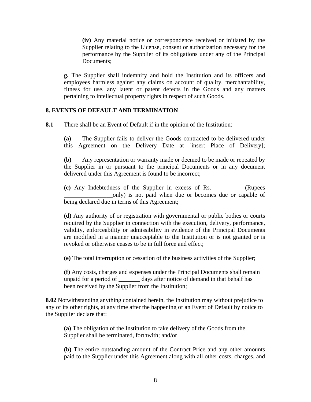**(iv)** Any material notice or correspondence received or initiated by the Supplier relating to the License, consent or authorization necessary for the performance by the Supplier of its obligations under any of the Principal Documents;

**g.** The Supplier shall indemnify and hold the Institution and its officers and employees harmless against any claims on account of quality, merchantability, fitness for use, any latent or patent defects in the Goods and any matters pertaining to intellectual property rights in respect of such Goods.

#### **8. EVENTS OF DEFAULT AND TERMINATION**

**8.1** There shall be an Event of Default if in the opinion of the Institution:

**(a)** The Supplier fails to deliver the Goods contracted to be delivered under this Agreement on the Delivery Date at [insert Place of Delivery];

**(b)** Any representation or warranty made or deemed to be made or repeated by the Supplier in or pursuant to the principal Documents or in any document delivered under this Agreement is found to be incorrect;

**(c)** Any Indebtedness of the Supplier in excess of Rs.\_\_\_\_\_\_\_\_\_\_ (Rupees \_\_\_\_\_\_\_\_\_\_\_\_\_\_\_\_only) is not paid when due or becomes due or capable of being declared due in terms of this Agreement;

**(d)** Any authority of or registration with governmental or public bodies or courts required by the Supplier in connection with the execution, delivery, performance, validity, enforceability or admissibility in evidence of the Principal Documents are modified in a manner unacceptable to the Institution or is not granted or is revoked or otherwise ceases to be in full force and effect;

**(e)** The total interruption or cessation of the business activities of the Supplier;

**(f)** Any costs, charges and expenses under the Principal Documents shall remain unpaid for a period of \_\_\_\_\_\_\_ days after notice of demand in that behalf has been received by the Supplier from the Institution;

**8.02** Notwithstanding anything contained herein, the Institution may without prejudice to any of its other rights, at any time after the happening of an Event of Default by notice to the Supplier declare that:

**(a)** The obligation of the Institution to take delivery of the Goods from the Supplier shall be terminated, forthwith; and/or

**(b)** The entire outstanding amount of the Contract Price and any other amounts paid to the Supplier under this Agreement along with all other costs, charges, and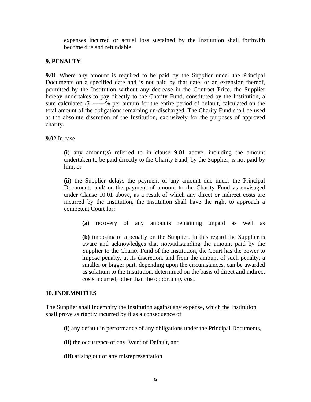expenses incurred or actual loss sustained by the Institution shall forthwith become due and refundable.

### **9. PENALTY**

**9.01** Where any amount is required to be paid by the Supplier under the Principal Documents on a specified date and is not paid by that date, or an extension thereof, permitted by the Institution without any decrease in the Contract Price, the Supplier hereby undertakes to pay directly to the Charity Fund, constituted by the Institution, a sum calculated @ ------% per annum for the entire period of default, calculated on the total amount of the obligations remaining un-discharged. The Charity Fund shall be used at the absolute discretion of the Institution, exclusively for the purposes of approved charity.

**9.02** In case

**(i)** any amount(s) referred to in clause 9.01 above, including the amount undertaken to be paid directly to the Charity Fund, by the Supplier, is not paid by him, or

**(ii)** the Supplier delays the payment of any amount due under the Principal Documents and/ or the payment of amount to the Charity Fund as envisaged under Clause 10.01 above, as a result of which any direct or indirect costs are incurred by the Institution, the Institution shall have the right to approach a competent Court for;

**(a)** recovery of any amounts remaining unpaid as well as

**(b)** imposing of a penalty on the Supplier. In this regard the Supplier is aware and acknowledges that notwithstanding the amount paid by the Supplier to the Charity Fund of the Institution, the Court has the power to impose penalty, at its discretion, and from the amount of such penalty, a smaller or bigger part, depending upon the circumstances, can be awarded as solatium to the Institution, determined on the basis of direct and indirect costs incurred, other than the opportunity cost.

#### **10. INDEMNITIES**

The Supplier shall indemnify the Institution against any expense, which the Institution shall prove as rightly incurred by it as a consequence of

- **(i)** any default in performance of any obligations under the Principal Documents,
- **(ii)** the occurrence of any Event of Default, and
- **(iii)** arising out of any misrepresentation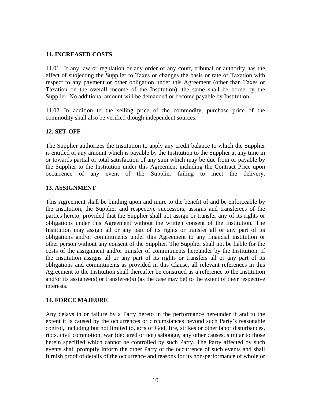### **11. INCREASED COSTS**

11.01 If any law or regulation or any order of any court, tribunal or authority has the effect of subjecting the Supplier to Taxes or changes the basis or rate of Taxation with respect to any payment or other obligation under this Agreement (other than Taxes or Taxation on the overall income of the Institution), the same shall be borne by the Supplier. No additional amount will be demanded or become payable by Institution;

11.02 In addition to the selling price of the commodity, purchase price of the commodity shall also be verified though independent sources.

## **12. SET-OFF**

The Supplier authorizes the Institution to apply any credit balance to which the Supplier is entitled or any amount which is payable by the Institution to the Supplier at any time in or towards partial or total satisfaction of any sum which may be due from or payable by the Supplier to the Institution under this Agreement including the Contract Price upon occurrence of any event of the Supplier failing to meet the delivery.

#### **13. ASSIGNMENT**

This Agreement shall be binding upon and inure to the benefit of and be enforceable by the Institution, the Supplier and respective successors, assigns and transferees of the parties hereto, provided that the Supplier shall not assign or transfer any of its rights or obligations under this Agreement without the written consent of the Institution. The Institution may assign all or any part of its rights or transfer all or any part of its obligations and/or commitments under this Agreement to any financial institution or other person without any consent of the Supplier. The Supplier shall not be liable for the costs of the assignment and/or transfer of commitments hereunder by the Institution. If the Institution assigns all or any part of its rights or transfers all or any part of its obligations and commitments as provided in this Clause, all relevant references in this Agreement to the Institution shall thereafter be construed as a reference to the Institution and/or its assignee(s) or transferee(s) (as the case may be) to the extent of their respective interests.

#### **14. FORCE MAJEURE**

Any delays in or failure by a Party hereto in the performance hereunder if and to the extent it is caused by the occurrences or circumstances beyond such Party's reasonable control, including but not limited to, acts of God, fire, strikes or other labor disturbances, riots, civil commotion, war (declared or not) sabotage, any other causes, similar to those herein specified which cannot be controlled by such Party. The Party affected by such events shall promptly inform the other Party of the occurrence of such events and shall furnish proof of details of the occurrence and reasons for its non-performance of whole or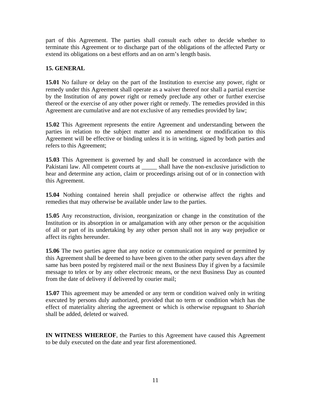part of this Agreement. The parties shall consult each other to decide whether to terminate this Agreement or to discharge part of the obligations of the affected Party or extend its obligations on a best efforts and an on arm's length basis.

# **15. GENERAL**

**15.01** No failure or delay on the part of the Institution to exercise any power, right or remedy under this Agreement shall operate as a waiver thereof nor shall a partial exercise by the Institution of any power right or remedy preclude any other or further exercise thereof or the exercise of any other power right or remedy. The remedies provided in this Agreement are cumulative and are not exclusive of any remedies provided by law;

**15.02** This Agreement represents the entire Agreement and understanding between the parties in relation to the subject matter and no amendment or modification to this Agreement will be effective or binding unless it is in writing, signed by both parties and refers to this Agreement;

**15.03** This Agreement is governed by and shall be construed in accordance with the Pakistani law. All competent courts at a shall have the non-exclusive jurisdiction to hear and determine any action, claim or proceedings arising out of or in connection with this Agreement.

**15.04** Nothing contained herein shall prejudice or otherwise affect the rights and remedies that may otherwise be available under law to the parties.

**15.05** Any reconstruction, division, reorganization or change in the constitution of the Institution or its absorption in or amalgamation with any other person or the acquisition of all or part of its undertaking by any other person shall not in any way prejudice or affect its rights hereunder.

**15.06** The two parties agree that any notice or communication required or permitted by this Agreement shall be deemed to have been given to the other party seven days after the same has been posted by registered mail or the next Business Day if given by a facsimile message to telex or by any other electronic means, or the next Business Day as counted from the date of delivery if delivered by courier mail;

**15.07** This agreement may be amended or any term or condition waived only in writing executed by persons duly authorized, provided that no term or condition which has the effect of materiality altering the agreement or which is otherwise repugnant to *Shariah* shall be added, deleted or waived.

**IN WITNESS WHEREOF**, the Parties to this Agreement have caused this Agreement to be duly executed on the date and year first aforementioned.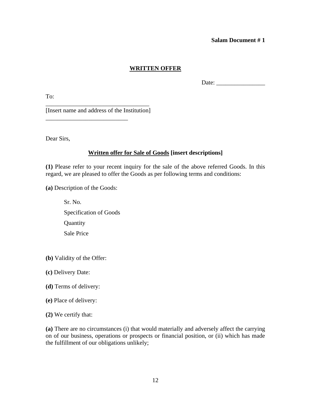#### **Salam Document # 1**

### **WRITTEN OFFER**

Date: \_\_\_\_\_\_\_\_\_\_\_\_\_\_\_\_

To:

\_\_\_\_\_\_\_\_\_\_\_\_\_\_\_\_\_\_\_\_\_\_\_\_\_\_\_\_\_\_\_\_\_\_ [Insert name and address of the Institution]

\_\_\_\_\_\_\_\_\_\_\_\_\_\_\_\_\_\_\_\_\_\_\_\_\_\_\_

Dear Sirs,

## **Written offer for Sale of Goods [insert descriptions]**

**(1)** Please refer to your recent inquiry for the sale of the above referred Goods. In this regard, we are pleased to offer the Goods as per following terms and conditions:

**(a)** Description of the Goods:

- Sr. No. Specification of Goods **Quantity** Sale Price
- **(b)** Validity of the Offer:
- **(c)** Delivery Date:
- **(d)** Terms of delivery:
- **(e)** Place of delivery:
- **(2)** We certify that:

**(a)** There are no circumstances (i) that would materially and adversely affect the carrying on of our business, operations or prospects or financial position, or (ii) which has made the fulfillment of our obligations unlikely;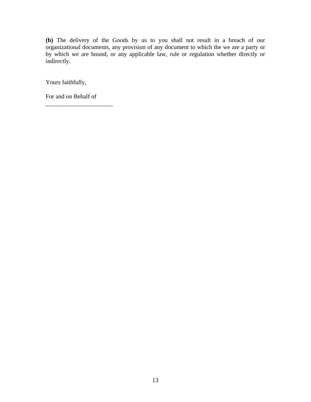**(b)** The delivery of the Goods by us to you shall not result in a breach of our organizational documents, any provision of any document to which the we are a party or by which we are bound, or any applicable law, rule or regulation whether directly or indirectly.

Yours faithfully,

For and on Behalf of

\_\_\_\_\_\_\_\_\_\_\_\_\_\_\_\_\_\_\_\_\_\_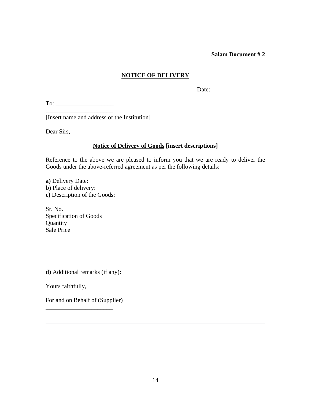#### **Salam Document # 2**

## **NOTICE OF DELIVERY**

 $Date:$ 

To: \_\_\_\_\_\_\_\_\_\_\_\_\_\_\_\_\_\_\_ \_\_\_\_\_\_\_\_\_\_\_\_\_\_\_\_\_\_\_\_\_\_

[Insert name and address of the Institution]

Dear Sirs,

## **Notice of Delivery of Goods [insert descriptions]**

Reference to the above we are pleased to inform you that we are ready to deliver the Goods under the above-referred agreement as per the following details:

**a)** Delivery Date: **b)** Place of delivery: **c)** Description of the Goods:

Sr. No. Specification of Goods **Quantity** Sale Price

**d)** Additional remarks (if any):

Yours faithfully,

For and on Behalf of (Supplier)

\_\_\_\_\_\_\_\_\_\_\_\_\_\_\_\_\_\_\_\_\_\_